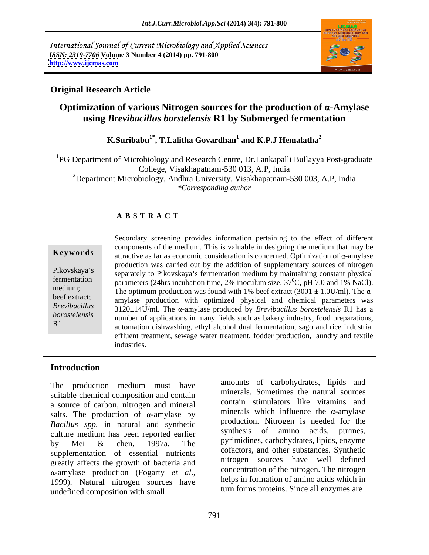International Journal of Current Microbiology and Applied Sciences *ISSN: 2319-7706* **Volume 3 Number 4 (2014) pp. 791-800 <http://www.ijcmas.com>**



## **Original Research Article**

# **Optimization of various Nitrogen sources for the production of -Amylase using** *Brevibacillus borstelensis* **R1 by Submerged fermentation**

### **K.Suribabu<sup>1\*</sup>, T.Lalitha Govardhan<sup>1</sup> and K.P.J Hemalatha<sup>2</sup> and K.P.J Hemalatha<sup>2</sup>**

<sup>1</sup>PG Department of Microbiology and Research Centre, Dr.Lankapalli Bullayya Post-graduate College, Visakhapatnam-530 013, A.P, India <sup>2</sup>Department Microbiology, Andhra University, Visakhapatnam-530 003, A.P. India *\*Corresponding author*

## **A B S T R A C T**

**Keywords** attractive as far as economic consideration is concerned. Optimization of  $\alpha$ -amylase Pikovskaya's separately to Pikovskaya's fermentation medium by maintaining constant physical fermentation parameters (24hrs incubation time, 2% inoculum size,  $37^{\circ}$ C, pH 7.0 and 1% NaCl). medium;<br>The optimum production was found with 1% beef extract  $(3001 \pm 1.0$ U/ml). The  $\alpha$ beef extract;<br>amylase production with optimized physical and chemical parameters was *Brevibacillus*  3120±14U/ml. The -amylase produced by *Brevibacillus borostelensis* R1 has a *borostelensis* **humber of applications in many fields such as bakery industry, food preparations,** R1 automation dishwashing, ethyl alcohol dual fermentation, sago and rice industrial Secondary screening provides information pertaining to the effect of different components of the medium. This is valuable in designing the medium that may be production was carried out by the addition of supplementary sources of nitrogen  ${}^{0}C$ , pH 7.0 and 1% NaCl). effluent treatment, sewage water treatment, fodder production, laundry and textile industries.

## **Introduction**

The production medium must have suitable chemical composition and contain a source of carbon, nitrogen and mineral salts. The production of  $\alpha$ -amylase by *Bacillus spp.* in natural and synthetic production. No<br>culture modium has been reported earlier synthesis of culture medium has been reported earlier by Mei  $\&$  chen, 1997a. The pyrimidines, carbonydrates, upids, enzyme supplementation of essential nutrients greatly affects the growth of bacteria and  $\alpha$ -amylase production (Fogarty *et al.*, concentration of the nitrogen. The nitrogen sources have helps in formation of amino acids which in undefined composition with small

791

amounts of carbohydrates, lipids and minerals. Sometimes the natural sources contain stimulators like vitamins and minerals which influence the  $\alpha$ -amylase production. Nitrogen is needed for the amino acids, purines, pyrimidines, carbohydrates, lipids, enzyme cofactors, and other substances. Synthetic nitrogen sources have well defined concentration of the nitrogen. The nitrogen helps in formation of amino acids which in turn forms proteins. Since all enzymes are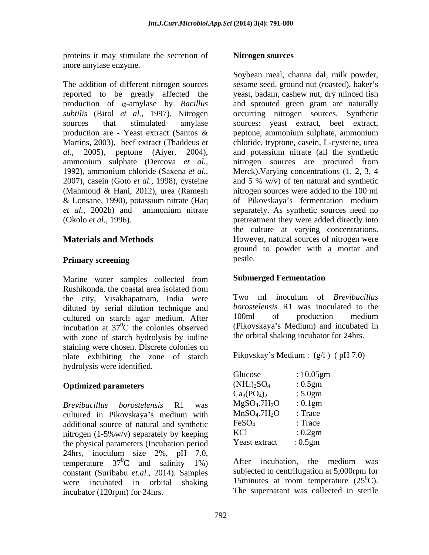proteins it may stimulate the secretion of **Nitrogen sources** more amylase enzyme.

production are - Yeast extract (Santos &

Marine water samples collected from **Submerged Fermentation** Rushikonda, the coastal area isolated from the city, Visakhapatnam, India were Two ml inoculum of *Brevibacillus* diluted by serial dilution technique and *borostelensis* R1 was inoculated to the cultured on starch agar medium After 100ml of production medium cultured on starch agar medium. After incubation at  $37^0C$  the colonies observed with zone of starch hydrolysis by iodine staining were chosen. Discrete colonies on<br>
plate exhibiting the zone of starch Pikovskay's Medium: (g/l) (pH 7.0) plate exhibiting the zone of starch hydrolysis were identified.

### **Optimized parameters**

*Brevibacillus borostelensis* R1 was cultured in Pikovskaya's medium with additional source of natural and synthetic nitrogen (1-5%w/v) separately by keeping the physical parameters (Incubation period 24hrs, inoculum size 2%, pH 7.0,<br>temperature  $37^{0}C$  and salinity 1%) After incubation, the medium was temperature  $37^0$ C and salinity 1%) constant (Suribabu *et.al.,* 2014). Samples were incubated in orbital shaking 15 minutes at room temperature (25<sup>o</sup>C). incubator (120rpm) for 24hrs. The supernatant was collected in sterile

### **Nitrogen sources**

The addition of different nitrogen sources sesame seed, ground nut (roasted), baker's reported to be greatly affected the yeast, badam, cashew nut, dry minced fish production of  $\alpha$ -amylase by *Bacillus* and sprouted green gram are naturally *subtilis* (Birol *et al.,* 1997). Nitrogen occurring nitrogen sources. Synthetic sources that stimulated amylase sources: yeast extract, beef extract, Martins, 2003), beef extract (Thaddeus *et*  chloride, tryptone, casein, L-cysteine, urea *al.,* 2005), peptone (Aiyer, 2004), and potassium nitrate (all the synthetic ammonium sulphate (Dercova *et al.,* nitrogen sources are procured from 1992), ammonium chloride (Saxena *et al.,* Merck).Varying concentrations (1, 2, 3, 4 2007), casein (Goto *et al.,* 1998), cysteine and 5 % w/v) of ten natural and synthetic (Mahmoud & Hani, 2012), urea (Ramesh nitrogen sources were added to the 100 ml & Lonsane, 1990), potassium nitrate (Haq of Pikovskaya's fermentation medium *et al.,* 2002b) and ammonium nitrate separately. As synthetic sources need no (Okolo *et al.,* 1996). pretreatment they were added directly into **Materials and Methods However, natural sources of nitrogen were Primary screening** example pestle. Soybean meal, channa dal, milk powder, peptone, ammonium sulphate, ammonium the culture at varying concentrations. ground to powder with a mortar and pestle.

### **Submerged Fermentation**

 ${}^{0}C$  the colonies observed (Pikovskaya's Medium) and incubated in Two ml inoculum of *Brevibacillus borostelensis* R1 was inoculated to the 100ml of production medium the orbital shaking incubator for 24hrs.

Pikovskay's Medium : (g/l) ( pH 7.0)

| : $10.05$ gm                                                               |                                               |  |  |
|----------------------------------------------------------------------------|-----------------------------------------------|--|--|
|                                                                            |                                               |  |  |
| :5.0gm                                                                     |                                               |  |  |
|                                                                            |                                               |  |  |
| : Trace                                                                    |                                               |  |  |
|                                                                            |                                               |  |  |
|                                                                            |                                               |  |  |
| : 0.5gm                                                                    |                                               |  |  |
| Ca <sub>3</sub> (PO <sub>4)2</sub><br>MgSO <sub>4</sub> .7H <sub>2</sub> O | :0.5gm<br>$: 0.1$ gm<br>: Trace<br>: $0.2$ gm |  |  |

 ${}^{0}C$  and salinity 1%) After incubation, the medium was After incubation, the medium was subjected to centrifugation at 5,000rpm for  ${}^{0}C$ ).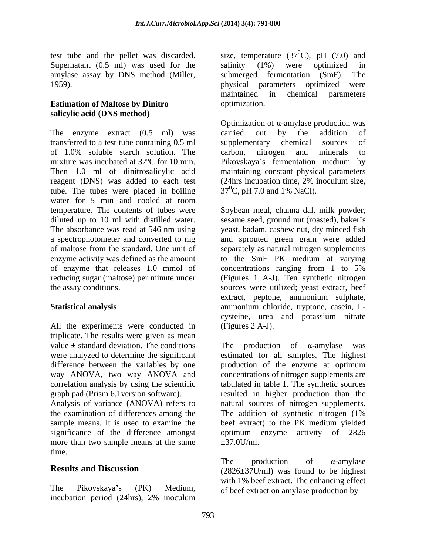Supernatant (0.5 ml) was used for the salinity (1%) were optimized in amylase assay by DNS method (Miller, submerged fermentation (SmF). The 1959). physical parameters optimized were

### **Estimation of Maltose by Dinitro salicylic acid (DNS method)**

The enzyme extract (0.5 ml) was carried out by the addition of transferred to a test tube containing 0.5 ml of 1.0% soluble starch solution. The carbon, nitrogen and minerals to mixture was incubated at 37°C for 10 min. Pikovskaya's fermentation medium by Then 1.0 ml of dinitrosalicylic acid maintaining constant physical parameters reagent (DNS) was added to each test (24hrs incubation time, 2% inoculum size, tube. The tubes were placed in boiling water for 5 min and cooled at room temperature. The contents of tubes were Soybean meal,channa dal, milk powder, diluted up to 10 ml with distilled water. Sesame seed, ground nut (roasted), baker's The absorbance was read at 546 nm using yeast, badam, cashew nut, dry minced fish a spectrophotometer and converted to mg and sprouted green gram were added of maltose from the standard. One unit of separately as natural nitrogen supplements enzyme activity was defined as the amount to the SmF PK medium at varying of enzyme that releases 1.0 mmol of reducing sugar (maltose) per minute under (Figures 1 A-J). Ten synthetic nitrogen the assay conditions. sources were utilized; yeast extract*,* beef

All the experiments were conducted in triplicate. The results were given as mean value  $\pm$  standard deviation. The conditions The production of  $\alpha$ -amylase was

the examination of differences among the The addition of synthetic nitrogen (1%) more than two sample means at the same  $\pm$ 37.0U/ml. time.

incubation period (24hrs), 2% inoculum

test tube and the pellet was discarded. size, temperature  $(37^0C)$ , pH  $(7.0)$  and  $^{0}C$ ), pH (7.0) and salinity (1%) were optimized in submerged fermentation (SmF). physical parameters optimized were maintained in chemical parameters optimization.

> Optimization of  $\alpha$ -amylase production was carried out by the addition of supplementary chemical sources of carbon, nitrogen and minerals to (24hrs incubation time, 2% inoculum size,  $37^{\circ}$ C, pH 7.0 and 1% NaCl).

**Statistical analysis** ammonium chloride, tryptone, casein, L concentrations ranging from 1 to 5% extract, peptone, ammonium sulphate, cysteine, urea and potassium nitrate (Figures 2 A-J).

were analyzed to determine the significant estimated for all samples. The highest difference between the variables by one production of the enzyme at optimum way ANOVA, two way ANOVA and concentrations of nitrogen supplements are correlation analysis by using the scientific tabulated in table 1. The synthetic sources graph pad (Prism 6.1version software). resulted in higher production than the Analysis of variance (ANOVA) refers to natural sources of nitrogen supplements. sample means. It is used to examine the beef extract) to the PK medium yielded significance of the difference amongst optimum enzyme activity of 2826 production of  $\alpha$ -amylase The addition of synthetic nitrogen (1%  $\pm 37.0$ U/ml.

**Results and Discussion** (2826±37U/ml) was found to be highest The Pikovskaya's (PK) Medium, of beef extract on amylase production by The production of  $\alpha$ -amylase with 1% beef extract. The enhancing effect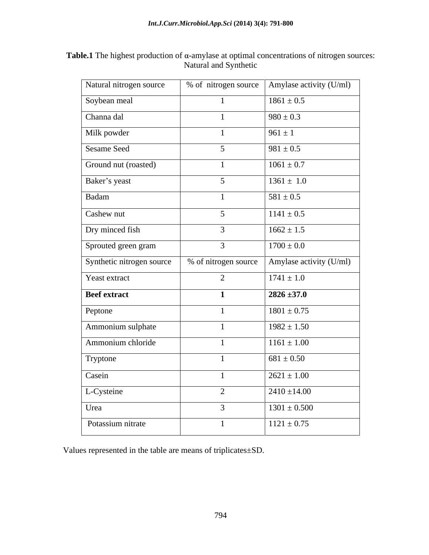| <b>Table.1</b> The highest production of $\alpha$ -amylase at optimal concentrations of nitrogen sources: |  |
|-----------------------------------------------------------------------------------------------------------|--|
| Natural and Synthetic                                                                                     |  |

| Natural nitrogen source   |                      | % of nitrogen source   Amylase activity $(U/ml)$ |
|---------------------------|----------------------|--------------------------------------------------|
| Soybean meal              |                      | $1861 \pm 0.5$                                   |
| Channa dal                | $\overline{1}$       | $980 \pm 0.3$                                    |
| Milk powder               | $\overline{1}$       | $961 \pm 1$                                      |
| <b>Sesame Seed</b>        | 5 <sup>5</sup>       | $981 \pm 0.5$                                    |
| Ground nut (roasted)      |                      | $1061 \pm 0.7$                                   |
| Baker's yeast             | 5 <sup>5</sup>       | $1361 \pm 1.0$                                   |
| Badam                     |                      | $581 \pm 0.5$                                    |
| Cashew nut                | 5 <sup>5</sup>       | $1141 \pm 0.5$                                   |
| Dry minced fish           | $\mathbf{3}$         | $1662 \pm 1.5$                                   |
| Sprouted green gram       | $\mathbf{3}$         | $1700 \pm 0.0$                                   |
| Synthetic nitrogen source | % of nitrogen source | Amylase activity (U/ml)                          |
| Yeast extract             | 2                    | $1741 \pm 1.0$                                   |
| <b>Beef</b> extract       | $\blacksquare$       | $2826 \pm 37.0$                                  |
| Peptone                   |                      | $1801 \pm 0.75$                                  |
| Ammonium sulphate         | $\overline{1}$       | $1982 \pm 1.50$                                  |
| Ammonium chloride         |                      | $1161 \pm 1.00$                                  |
| Tryptone                  | $\blacksquare$       | $681 \pm 0.50$                                   |
| Casein                    | $\blacksquare$       | $2621 \pm 1.00$                                  |
| L-Cysteine                | $\overline{2}$       | $2410 \pm 14.00$                                 |
| Urea                      | $\mathbf{3}$         | $1301 \pm 0.500$                                 |
| Potassium nitrate         |                      | $1121 \pm 0.75$                                  |
|                           |                      |                                                  |

Values represented in the table are means of triplicates±SD.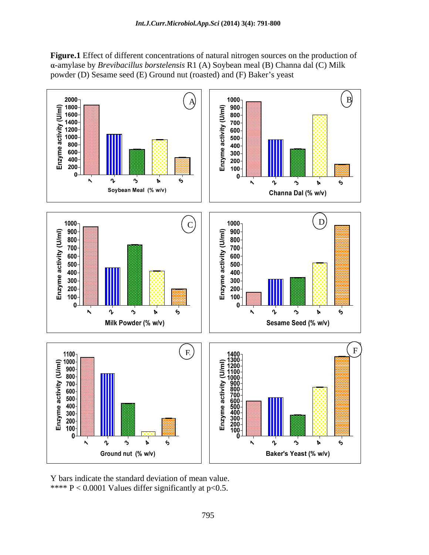**Figure.1** Effect of different concentrations of natural nitrogen sources on the production of  $\alpha$ -amylase by *Brevibacillus borstelensis* R1 (A) Soybean meal (B) Channa dal (C) Milk powder (D) Sesame seed (E) Ground nut (roasted) and (F) Baker's yeast



Y bars indicate the standard deviation of mean value. \*\*\*\*  $P < 0.0001$  Values differ significantly at p<0.5.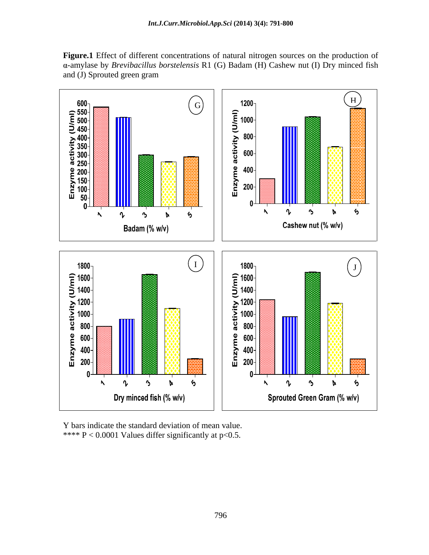**Figure.1** Effect of different concentrations of natural nitrogen sources on the production of -amylase by *Brevibacillus borstelensis* R1 (G) Badam (H) Cashew nut (I) Dry minced fish and (J) Sprouted green gram



Y bars indicate the standard deviation of mean value. \*\*\*\* P < 0.0001 Values differ significantly at p<0.5.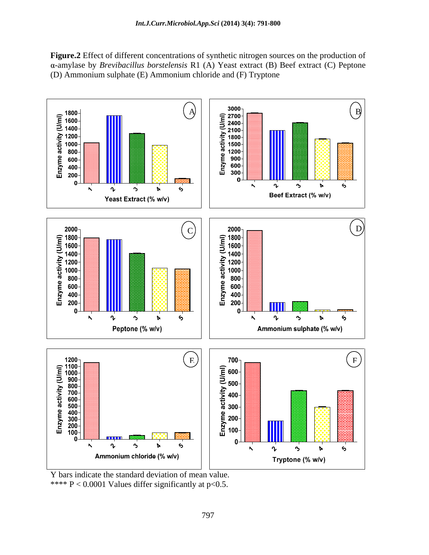**Figure.2** Effect of different concentrations of synthetic nitrogen sources on the production of α-amylase by *Brevibacillus borstelensis* R1 (A) Yeast extract (B) Beef extract (C) Peptone (D) Ammonium sulphate (E) Ammonium chloride and (F) Tryptone



Y bars indicate the standard deviation of mean value.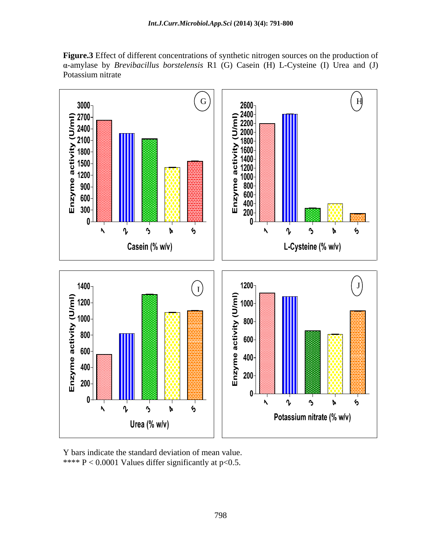**Figure.3** Effect of different concentrations of synthetic nitrogen sources on the production of  $\alpha$ -amylase by *Brevibacillus borstelensis* R1 (G) Casein (H) L-Cysteine (I) Urea and (J) Potassium nitrate experience that the set of the set of the set of the set of the set of the set of the set of the set of the set of the set of the set of the set of the set of the set of the set of the set of the set of t



Y bars indicate the standard deviation of mean value. \*\*\*\*  $P < 0.0001$  Values differ significantly at p<0.5.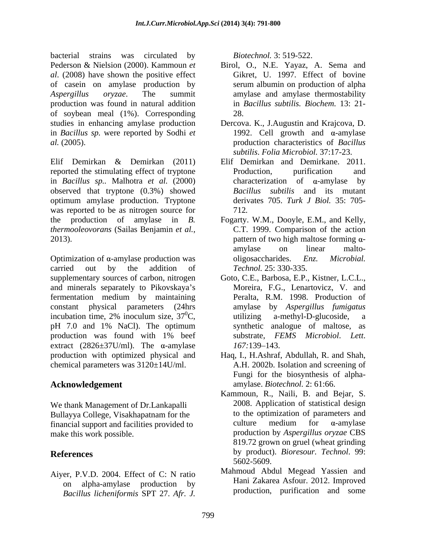bacterial strains was circulated by *Biotechnol*. 3: 519-522. Pederson & Nielsion (2000). Kammoun *et*  Birol, O., N.E. Yayaz, A. Sema and *al*. (2008) have shown the positive effect of casein on amylase production by *Aspergillus oryzae*. The summit amylase and amylase thermostability production was found in natural addition of soybean meal (1%). Corresponding studies in enhancing amylase production Dercova. K., J.Augustin and Krajcova, D. in *Bacillus sp.* were reported by Sodhi *et al.* (2005). production characteristics of *Bacillus* 

Elif Demirkan & Demirkan (2011) reported the stimulating effect of tryptone Production, purification and in *Bacillus sp..* Malhotra *et al.* (2000) observed that tryptone (0.3%) showed optimum amylase production. Tryptone was reported to be as nitrogen source for  $712$ . the production of amylase in *B.*  Fogarty. W.M., Dooyle, E.M., and Kelly, *thermooleovorans* (Sailas Benjamin *et al.,*

Optimization of  $\alpha$ -amylase production was consider objects objects a set of  $\alpha$ -amylase production was considered by  $\alpha$ -amylase production was carried out by the addition of *Technol*. 25: 330-335. supplementary sources of carbon, nitrogen Goto, C.E., Barbosa, E.P., Kistner, L.C.L., and minerals separately to Pikovskaya's fermentation medium by maintaining constant physical parameters (24hrs incubation time, 2% inoculum size,  $37^{\circ}$ C,  $\qquad \qquad$  utilizing a-methyl-D-glucoside, a incubation time, 2% inoculum size,  $37^{\circ}$ C, utilizing a-methyl-D-glucoside, a pH 7.0 and 1% NaCl). The optimum production was found with 1% beef substrate, FEMS Microbiol. Lett. extract  $(2826\pm37U/ml)$ . The  $\alpha$ -amylase  $167:139-143$ . production with optimized physical and Haq, I., H.Ashraf, Abdullah, R. and Shah, chemical parameters was 3120±14U/ml. **Brains was eincluded** by **B**iotechnol. 3: 519-522.<br> **Bacillus Bacillus DEV** 27. **A Semi-main**<br> **EFRONATION CONSUMPARITY EVENCE (Biotechnol. Consideration consideration by**<br> **Consideration by Considerati** 

We thank Management of Dr.Lankapalli financial support and facilities provided to

Aiyer, P.V.D. 2004. Effect of C: N ratio on alpha-amylase production by

- Gikret, U. 1997. Effect of bovine serum albumin on production of alpha in *Bacillus subtilis. Biochem.* 13: 21- 28.
- 1992. Cell growth and  $\alpha$ -amylase *subtilis*. *Folia Microbiol.* 37:17-23.
- Elif Demirkan and Demirkane. 2011. Production, purification and characterization of  $\alpha$ -amylase *Bacillus subtilis* and its mutant derivates 705. *Turk J Biol.* 35: 705- 712*.*
- 2013).  $\blacksquare$  **pattern of two high maltose forming**  $\alpha$ **-**C.T. 1999. Comparison of the action amylase on linear malto  $oligosaccharides.$ *Technol.* 25: 330-335.
	- Moreira, F.G., Lenartovicz, V. and Peralta, R.M. 1998. Production of amylase by *Aspergillus fumigatus* utilizing a-methyl-D-glucoside, a synthetic analogue of maltose, as substrate, *FEMS Microbiol*. *Lett*. *167:*139–143.
- **Acknowledgement**  amylase. *Biotechnol.* 2: 61:66. A.H. 2002b. Isolation and screening of Fungi for the biosynthesis of alpha-
- Bullayya College, Visakhapatnam for the to the optimization of parameters and financial support and facilities provided to the value of medium for  $\alpha$ -amylase make this work possible. production by *Aspergillus oryzae* CBS **References** by product). *Bioresour. Technol*. 99: Kammoun, R., Naili, B. and Bejar, S. 2008. Application of statistical design to the optimization of parameters and culture medium for  $\alpha$ -amylase 819.72 grown on gruel (wheat grinding 5602-5609.
	- Mahmoud Abdul Megead Yassien and Hani Zakarea Asfour. 2012. Improved production, purification and some